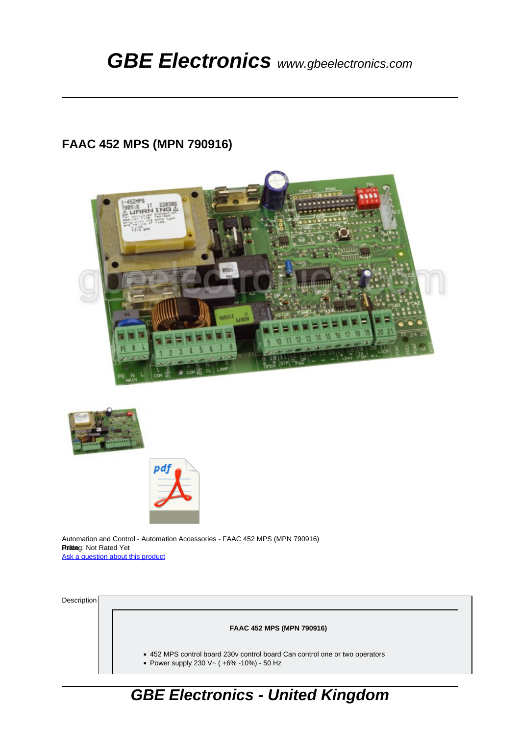## **FAAC 452 MPS (MPN 790916)**







Automation and Control - Automation Accessories - FAAC 452 MPS (MPN 790916) **Rriting: Not Rated Yet** [Ask a question about this product](https://gbeelectronics.com/index.php?option=com_virtuemart&view=productdetails&task=askquestion&virtuemart_product_id=167&virtuemart_category_id=88&tmpl=component)

Description

**FAAC 452 MPS (MPN 790916)**

452 MPS control board 230v control board Can control one or two operators

Power supply 230 V~ ( +6% -10%) - 50 Hz

## **GBE Electronics - United Kingdom**